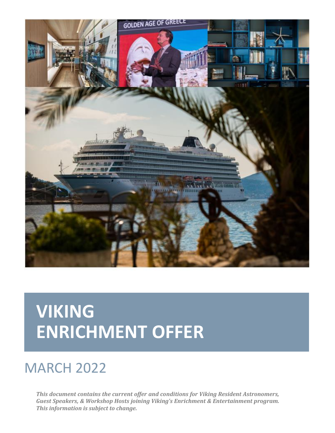

# **VIKING ENRICHMENT OFFER**

# MARCH 2022

*This document contains the current offer and conditions for Viking Resident Astronomers, Guest Speakers, & Workshop Hosts joining Viking's Enrichment & Entertainment program. This information is subject to change.*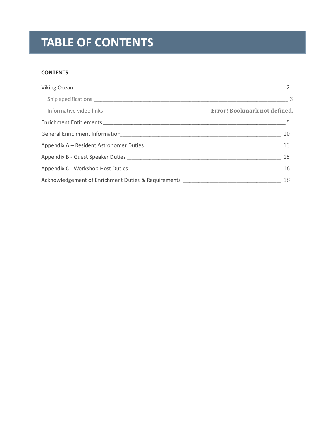# **TABLE OF CONTENTS**

#### **CONTENTS**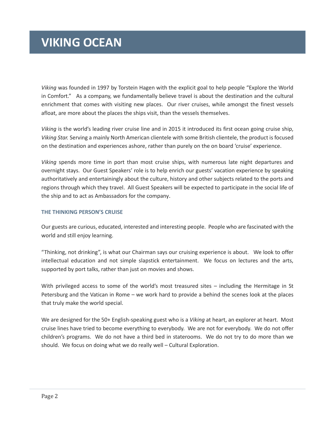### **VIKING OCEAN**

<span id="page-2-0"></span>*Viking* was founded in 1997 by Torstein Hagen with the explicit goal to help people "Explore the World in Comfort." As a company, we fundamentally believe travel is about the destination and the cultural enrichment that comes with visiting new places. Our river cruises, while amongst the finest vessels afloat, are more about the places the ships visit, than the vessels themselves.

*Viking* is the world's leading river cruise line and in 2015 it introduced its first ocean going cruise ship, *Viking Star.* Serving a mainly North American clientele with some British clientele, the product is focused on the destination and experiences ashore, rather than purely on the on board 'cruise' experience.

*Viking* spends more time in port than most cruise ships, with numerous late night departures and overnight stays. Our Guest Speakers' role is to help enrich our guests' vacation experience by speaking authoritatively and entertainingly about the culture, history and other subjects related to the ports and regions through which they travel. All Guest Speakers will be expected to participate in the social life of the ship and to act as Ambassadors for the company.

#### **THE THINKING PERSON'S CRUISE**

Our guests are curious, educated, interested and interesting people. People who are fascinated with the world and still enjoy learning.

"Thinking, not drinking", is what our Chairman says our cruising experience is about. We look to offer intellectual education and not simple slapstick entertainment. We focus on lectures and the arts, supported by port talks, rather than just on movies and shows.

With privileged access to some of the world's most treasured sites – including the Hermitage in St Petersburg and the Vatican in Rome – we work hard to provide a behind the scenes look at the places that truly make the world special.

We are designed for the 50+ English-speaking guest who is a *Viking* at heart, an explorer at heart. Most cruise lines have tried to become everything to everybody. We are not for everybody. We do not offer children's programs. We do not have a third bed in staterooms. We do not try to do more than we should. We focus on doing what we do really well – Cultural Exploration.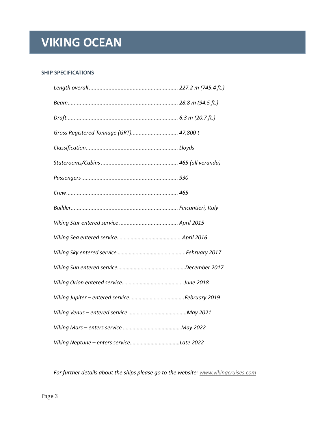# **VIKING OCEAN**

#### <span id="page-3-0"></span>**SHIP SPECIFICATIONS**

| Gross Registered Tonnage (GRT) 47,800 t |
|-----------------------------------------|
|                                         |
|                                         |
|                                         |
|                                         |
|                                         |
|                                         |
|                                         |
|                                         |
|                                         |
|                                         |
|                                         |
|                                         |
|                                         |
|                                         |

*For further details about the ships please go to the website[: www.vikingcruises.com](http://www.vikingcruises.com/)*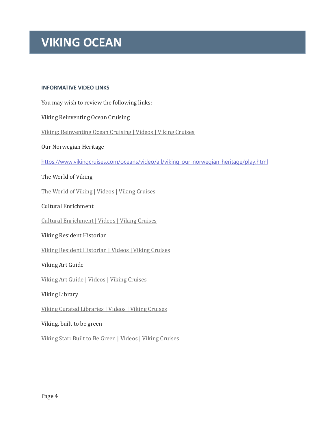### **VIKING OCEAN**

#### **INFORMATIVE VIDEO LINKS**

You may wish to review the following links:

Viking Reinventing Ocean Cruising

[Viking: Reinventing Ocean Cruising | Videos | Viking Cruises](https://www.vikingcruises.com/oceans/video/all/viking-reinventing-ocean-cruising-60/play.html)

Our Norwegian Heritage

<https://www.vikingcruises.com/oceans/video/all/viking-our-norwegian-heritage/play.html>

#### The World of Viking

[The World of Viking | Videos | Viking Cruises](https://www.vikingcruises.com/oceans/video/all/the-world-of-viking/play.html)

Cultural Enrichment

[Cultural Enrichment | Videos | Viking Cruises](https://www.vikingcruises.com/oceans/video/all/cultural-enrichment/play.html)

#### Viking Resident Historian

[Viking Resident Historian | Videos | Viking Cruises](https://www.vikingcruises.com/oceans/video/all/viking-resident-historian/play.html)

#### Viking Art Guide

[Viking Art Guide | Videos | Viking Cruises](https://www.vikingcruises.com/oceans/video/all/viking-art-guide/play.html)

Viking Library

[Viking Curated Libraries | Videos | Viking Cruises](https://www.vikingcruises.com/oceans/video/all/viking-curated-libraries/play.html)

Viking, built to be green

[Viking Star: Built to Be Green | Videos | Viking Cruises](https://www.vikingcruises.com/oceans/video/all/viking-star-built-to-be-green/play.html)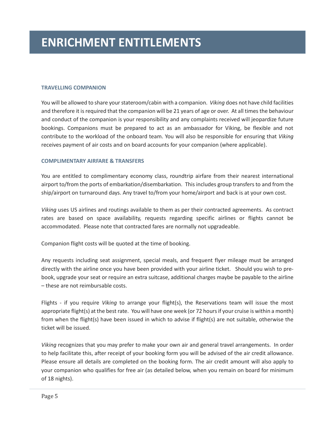#### <span id="page-5-0"></span>**TRAVELLING COMPANION**

You will be allowed to share your stateroom/cabin with a companion. *Viking* does not have child facilities and therefore it is required that the companion will be 21 years of age or over. At all times the behaviour and conduct of the companion is your responsibility and any complaints received will jeopardize future bookings. Companions must be prepared to act as an ambassador for Viking, be flexible and not contribute to the workload of the onboard team. You will also be responsible for ensuring that *Viking* receives payment of air costs and on board accounts for your companion (where applicable).

#### **COMPLIMENTARY AIRFARE & TRANSFERS**

You are entitled to complimentary economy class, roundtrip airfare from their nearest international airport to/from the ports of embarkation/disembarkation. This includes group transfers to and from the ship/airport on turnaround days. Any travel to/from your home/airport and back is at your own cost.

*Viking* uses US airlines and routings available to them as per their contracted agreements. As contract rates are based on space availability, requests regarding specific airlines or flights cannot be accommodated. Please note that contracted fares are normally not upgradeable.

Companion flight costs will be quoted at the time of booking.

Any requests including seat assignment, special meals, and frequent flyer mileage must be arranged directly with the airline once you have been provided with your airline ticket. Should you wish to prebook, upgrade your seat or require an extra suitcase, additional charges maybe be payable to the airline – these are not reimbursable costs.

Flights - if you require *Viking* to arrange your flight(s), the Reservations team will issue the most appropriate flight(s) at the best rate. You will have one week (or 72 hours if your cruise is within a month) from when the flight(s) have been issued in which to advise if flight(s) are not suitable, otherwise the ticket will be issued.

*Viking* recognizes that you may prefer to make your own air and general travel arrangements. In order to help facilitate this, after receipt of your booking form you will be advised of the air credit allowance. Please ensure all details are completed on the booking form. The air credit amount will also apply to your companion who qualifies for free air (as detailed below, when you remain on board for minimum of 18 nights).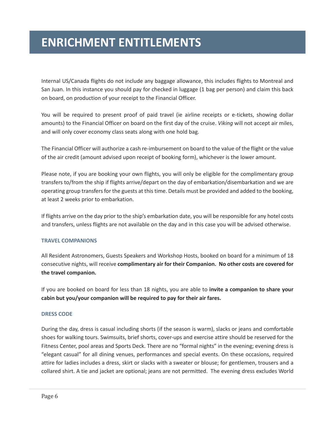Internal US/Canada flights do not include any baggage allowance, this includes flights to Montreal and San Juan. In this instance you should pay for checked in luggage (1 bag per person) and claim this back on board, on production of your receipt to the Financial Officer.

You will be required to present proof of paid travel (ie airline receipts or e-tickets, showing dollar amounts) to the Financial Officer on board on the first day of the cruise. *Viking* will not accept air miles, and will only cover economy class seats along with one hold bag.

The Financial Officer will authorize a cash re-imbursement on board to the value of the flight or the value of the air credit (amount advised upon receipt of booking form), whichever is the lower amount.

Please note, if you are booking your own flights, you will only be eligible for the complimentary group transfers to/from the ship if flights arrive/depart on the day of embarkation/disembarkation and we are operating group transfers for the guests at this time. Details must be provided and added to the booking, at least 2 weeks prior to embarkation.

If flights arrive on the day prior to the ship's embarkation date, you will be responsible for any hotel costs and transfers, unless flights are not available on the day and in this case you will be advised otherwise.

#### **TRAVEL COMPANIONS**

All Resident Astronomers, Guests Speakers and Workshop Hosts, booked on board for a minimum of 18 consecutive nights, will receive **complimentary air for their Companion. No other costs are covered for the travel companion.**

If you are booked on board for less than 18 nights, you are able to **invite a companion to share your cabin but you/your companion will be required to pay for their air fares.**

#### **DRESS CODE**

During the day, dress is casual including shorts (if the season is warm), slacks or jeans and comfortable shoes for walking tours. Swimsuits, brief shorts, cover-ups and exercise attire should be reserved for the Fitness Center, pool areas and Sports Deck. There are no "formal nights" in the evening; evening dress is "elegant casual" for all dining venues, performances and special events. On these occasions, required attire for ladies includes a dress, skirt or slacks with a sweater or blouse; for gentlemen, trousers and a collared shirt. A tie and jacket are optional; jeans are not permitted. The evening dress excludes World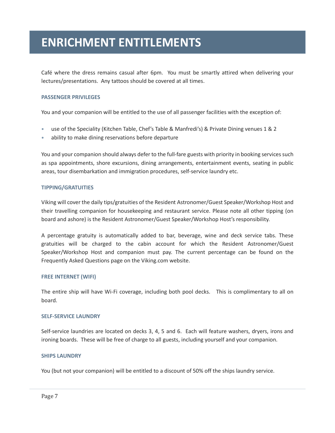Café where the dress remains casual after 6pm. You must be smartly attired when delivering your lectures/presentations. Any tattoos should be covered at all times.

#### **PASSENGER PRIVILEGES**

You and your companion will be entitled to the use of all passenger facilities with the exception of:

- use of the Speciality (Kitchen Table, Chef's Table & Manfredi's) & Private Dining venues 1 & 2
- ability to make dining reservations before departure

You and your companion should always defer to the full-fare guests with priority in booking services such as spa appointments, shore excursions, dining arrangements, entertainment events, seating in public areas, tour disembarkation and immigration procedures, self-service laundry etc.

#### **TIPPING/GRATUITIES**

Viking will cover the daily tips/gratuities of the Resident Astronomer/Guest Speaker/Workshop Host and their travelling companion for housekeeping and restaurant service. Please note all other tipping (on board and ashore) is the Resident Astronomer/Guest Speaker/Workshop Host's responsibility.

A percentage gratuity is automatically added to bar, beverage, wine and deck service tabs. These gratuities will be charged to the cabin account for which the Resident Astronomer/Guest Speaker/Workshop Host and companion must pay. The current percentage can be found on the Frequently Asked Questions page on the Viking.com website.

#### **FREE INTERNET (WIFI)**

The entire ship will have Wi-Fi coverage, including both pool decks. This is complimentary to all on board.

#### **SELF-SERVICE LAUNDRY**

Self-service laundries are located on decks 3, 4, 5 and 6. Each will feature washers, dryers, irons and ironing boards. These will be free of charge to all guests, including yourself and your companion.

#### **SHIPS LAUNDRY**

You (but not your companion) will be entitled to a discount of 50% off the ships laundry service.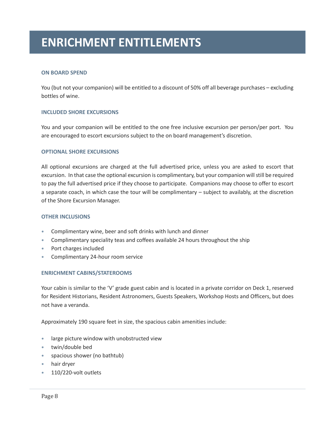#### **ON BOARD SPEND**

You (but not your companion) will be entitled to a discount of 50% off all beverage purchases – excluding bottles of wine.

#### **INCLUDED SHORE EXCURSIONS**

You and your companion will be entitled to the one free inclusive excursion per person/per port. You are encouraged to escort excursions subject to the on board management's discretion.

#### **OPTIONAL SHORE EXCURSIONS**

All optional excursions are charged at the full advertised price, unless you are asked to escort that excursion. In that case the optional excursion is complimentary, but your companion will still be required to pay the full advertised price if they choose to participate. Companions may choose to offer to escort a separate coach, in which case the tour will be complimentary – subject to availably, at the discretion of the Shore Excursion Manager.

#### **OTHER INCLUSIONS**

- Complimentary wine, beer and soft drinks with lunch and dinner
- Complimentary speciality teas and coffees available 24 hours throughout the ship
- Port charges included
- Complimentary 24-hour room service

#### **ENRICHMENT CABINS/STATEROOMS**

Your cabin is similar to the 'V' grade guest cabin and is located in a private corridor on Deck 1, reserved for Resident Historians, Resident Astronomers, Guests Speakers, Workshop Hosts and Officers, but does not have a veranda.

Approximately 190 square feet in size, the spacious cabin amenities include:

- large picture window with unobstructed view
- twin/double bed
- spacious shower (no bathtub)
- hair dryer
- 110/220-volt outlets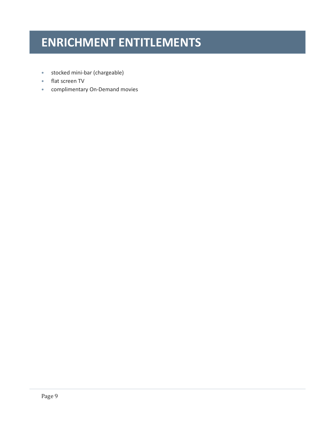- stocked mini-bar (chargeable)
- flat screen TV
- complimentary On-Demand movies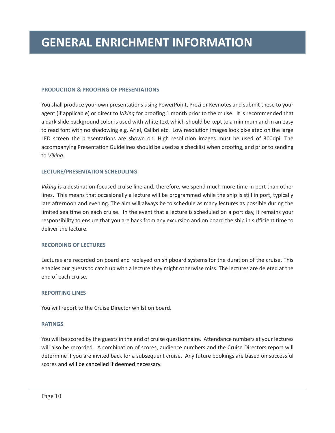#### <span id="page-10-0"></span>**PRODUCTION & PROOFING OF PRESENTATIONS**

You shall produce your own presentations using PowerPoint, Prezi or Keynotes and submit these to your agent (if applicable) or direct to *Viking* for proofing 1 month prior to the cruise. It is recommended that a dark slide background color is used with white text which should be kept to a minimum and in an easy to read font with no shadowing e.g. Ariel, Calibri etc. Low resolution images look pixelated on the large LED screen the presentations are shown on. High resolution images must be used of 300dpi. The accompanying Presentation Guidelines should be used as a checklist when proofing, and prior to sending to *Viking*.

#### **LECTURE/PRESENTATION SCHEDULING**

*Viking* is a destination-focused cruise line and, therefore, we spend much more time in port than other lines. This means that occasionally a lecture will be programmed while the ship is still in port, typically late afternoon and evening. The aim will always be to schedule as many lectures as possible during the limited sea time on each cruise. In the event that a lecture is scheduled on a port day, it remains your responsibility to ensure that you are back from any excursion and on board the ship in sufficient time to deliver the lecture.

#### **RECORDING OF LECTURES**

Lectures are recorded on board and replayed on shipboard systems for the duration of the cruise. This enables our guests to catch up with a lecture they might otherwise miss. The lectures are deleted at the end of each cruise.

#### **REPORTING LINES**

You will report to the Cruise Director whilst on board.

#### **RATINGS**

You will be scored by the guests in the end of cruise questionnaire. Attendance numbers at your lectures will also be recorded. A combination of scores, audience numbers and the Cruise Directors report will determine if you are invited back for a subsequent cruise. Any future bookings are based on successful scores and will be cancelled if deemed necessary.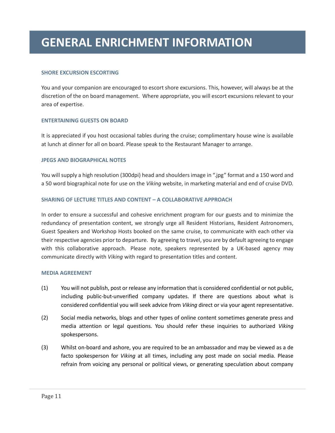### **GENERAL ENRICHMENT INFORMATION**

#### **SHORE EXCURSION ESCORTING**

You and your companion are encouraged to escort shore excursions. This, however, will always be at the discretion of the on board management. Where appropriate, you will escort excursions relevant to your area of expertise.

#### **ENTERTAINING GUESTS ON BOARD**

It is appreciated if you host occasional tables during the cruise; complimentary house wine is available at lunch at dinner for all on board. Please speak to the Restaurant Manager to arrange.

#### **JPEGS AND BIOGRAPHICAL NOTES**

You will supply a high resolution (300dpi) head and shoulders image in ".jpg" format and a 150 word and a 50 word biographical note for use on the *Viking* website, in marketing material and end of cruise DVD.

#### **SHARING OF LECTURE TITLES AND CONTENT – A COLLABORATIVE APPROACH**

In order to ensure a successful and cohesive enrichment program for our guests and to minimize the redundancy of presentation content, we strongly urge all Resident Historians, Resident Astronomers, Guest Speakers and Workshop Hosts booked on the same cruise, to communicate with each other via their respective agencies prior to departure. By agreeing to travel, you are by default agreeing to engage with this collaborative approach. Please note, speakers represented by a UK-based agency may communicate directly with *Viking* with regard to presentation titles and content.

#### **MEDIA AGREEMENT**

- (1) You will not publish, post or release any information that is considered confidential or not public, including public-but-unverified company updates. If there are questions about what is considered confidential you will seek advice from *Viking* direct or via your agent representative.
- (2) Social media networks, blogs and other types of online content sometimes generate press and media attention or legal questions. You should refer these inquiries to authorized *Viking* spokespersons.
- (3) Whilst on-board and ashore, you are required to be an ambassador and may be viewed as a de facto spokesperson for *Viking* at all times, including any post made on social media. Please refrain from voicing any personal or political views, or generating speculation about company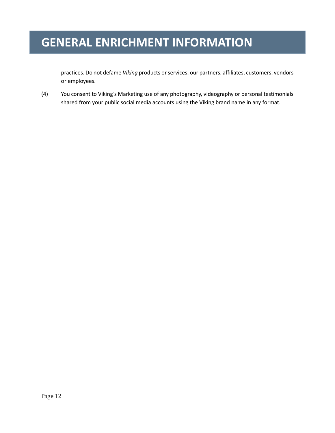### **GENERAL ENRICHMENT INFORMATION**

practices. Do not defame *Viking* products or services, our partners, affiliates, customers, vendors or employees.

(4) You consent to Viking's Marketing use of any photography, videography or personal testimonials shared from your public social media accounts using the Viking brand name in any format.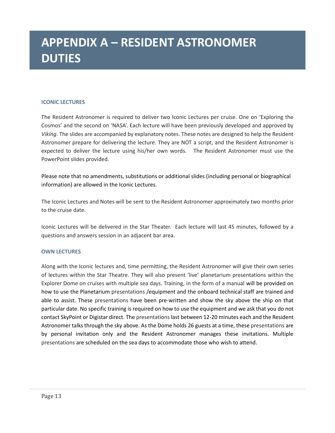# **APPENDIX A – RESIDENT ASTRONOMER DUTIES**

#### <span id="page-13-0"></span>**ICONIC LECTURES**

The Resident Astronomer is required to deliver two Iconic Lectures per cruise. One on 'Exploring the Cosmos' and the second on 'NASA'. Each lecture will have been previously developed and approved by *Viking*. The slides are accompanied by explanatory notes. These notes are designed to help the Resident Astronomer prepare for delivering the lecture. They are NOT a script, and the Resident Astronomer is expected to deliver the lecture using his/her own words. The Resident Astronomer must use the PowerPoint slides provided.

Please note that no amendments, substitutions or additional slides (including personal or biographical information) are allowed in the Iconic Lectures.

The Iconic Lectures and Notes will be sent to the Resident Astronomer approximately two months prior to the cruise date.

Iconic Lectures will be delivered in the Star Theater. Each lecture will last 45 minutes, followed by a questions and answers session in an adjacent bar area.

#### **OWN LECTURES**

Along with the Iconic lectures and, time permitting, the Resident Astronomer will give their own series of lectures within the Star Theatre. They will also present 'live' planetarium presentations within the Explorer Dome on cruises with multiple sea days. Training, in the form of a manual will be provided on how to use the Planetarium presentations /equipment and the onboard technical staff are trained and able to assist. These presentations have been pre-written and show the sky above the ship on that particular date. No specific training is required on how to use the equipment and we ask that you do not contact SkyPoint or Digistar direct. The presentations last between 12-20 minutes each and the Resident Astronomer talks through the sky above. As the Dome holds 26 guests at a time, these presentations are by personal invitation only and the Resident Astronomer manages these invitations. Multiple presentations are scheduled on the sea days to accommodate those who wish to attend.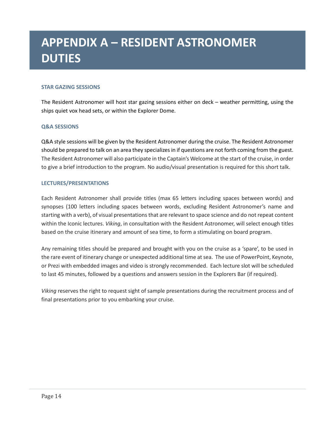# **APPENDIX A – RESIDENT ASTRONOMER DUTIES**

#### **STAR GAZING SESSIONS**

The Resident Astronomer will host star gazing sessions either on deck – weather permitting, using the ships quiet vox head sets, or within the Explorer Dome.

#### **Q&A SESSIONS**

Q&A style sessions will be given by the Resident Astronomer during the cruise. The Resident Astronomer should be prepared to talk on an area they specializes in if questions are not forth coming from the guest. The Resident Astronomer will also participate in the Captain's Welcome at the start of the cruise, in order to give a brief introduction to the program. No audio/visual presentation is required for this short talk.

#### **LECTURES/PRESENTATIONS**

Each Resident Astronomer shall provide titles (max 65 letters including spaces between words) and synopses (100 letters including spaces between words, excluding Resident Astronomer's name and starting with a verb), of visual presentations that are relevant to space science and do not repeat content within the Iconic lectures. *Viking*, in consultation with the Resident Astronomer, will select enough titles based on the cruise itinerary and amount of sea time, to form a stimulating on board program.

Any remaining titles should be prepared and brought with you on the cruise as a 'spare', to be used in the rare event of itinerary change or unexpected additional time at sea. The use of PowerPoint, Keynote, or Prezi with embedded images and video is strongly recommended. Each lecture slot will be scheduled to last 45 minutes, followed by a questions and answers session in the Explorers Bar (if required).

*Viking* reserves the right to request sight of sample presentations during the recruitment process and of final presentations prior to you embarking your cruise.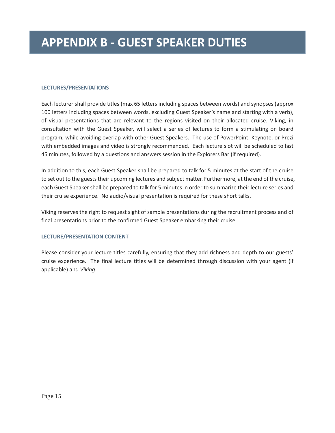#### <span id="page-15-0"></span>**LECTURES/PRESENTATIONS**

Each lecturer shall provide titles (max 65 letters including spaces between words) and synopses (approx 100 letters including spaces between words, excluding Guest Speaker's name and starting with a verb), of visual presentations that are relevant to the regions visited on their allocated cruise. Viking, in consultation with the Guest Speaker, will select a series of lectures to form a stimulating on board program, while avoiding overlap with other Guest Speakers. The use of PowerPoint, Keynote, or Prezi with embedded images and video is strongly recommended. Each lecture slot will be scheduled to last 45 minutes, followed by a questions and answers session in the Explorers Bar (if required).

In addition to this, each Guest Speaker shall be prepared to talk for 5 minutes at the start of the cruise to set out to the guests their upcoming lectures and subject matter. Furthermore, at the end of the cruise, each Guest Speaker shall be prepared to talk for 5 minutes in order to summarize their lecture series and their cruise experience. No audio/visual presentation is required for these short talks.

Viking reserves the right to request sight of sample presentations during the recruitment process and of final presentations prior to the confirmed Guest Speaker embarking their cruise.

#### **LECTURE/PRESENTATION CONTENT**

Please consider your lecture titles carefully, ensuring that they add richness and depth to our guests' cruise experience. The final lecture titles will be determined through discussion with your agent (if applicable) and *Viking*.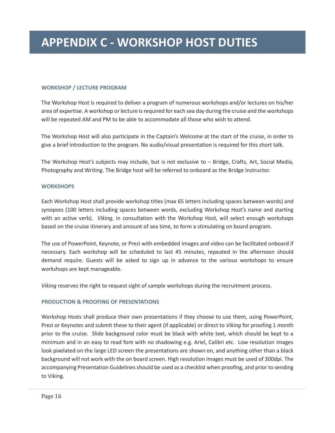#### <span id="page-16-0"></span>**WORKSHOP / LECTURE PROGRAM**

The Workshop Host is required to deliver a program of numerous workshops and/or lectures on his/her area of expertise. A workshop or lecture is required for each sea day during the cruise and the workshops will be repeated AM and PM to be able to accommodate all those who wish to attend.

The Workshop Host will also participate in the Captain's Welcome at the start of the cruise, in order to give a brief introduction to the program. No audio/visual presentation is required for this short talk.

The Workshop Host's subjects may include, but is not exclusive to – Bridge, Crafts, Art, Social Media, Photography and Writing. The Bridge host will be referred to onboard as the Bridge Instructor.

#### **WORKSHOPS**

Each Workshop Host shall provide workshop titles (max 65 letters including spaces between words) and synopses (100 letters including spaces between words, excluding Workshop Host's name and starting with an active verb). *Viking*, in consultation with the Workshop Host, will select enough workshops based on the cruise itinerary and amount of sea time, to form a stimulating on board program.

The use of PowerPoint, Keynote, or Prezi with embedded images and video can be facilitated onboard if necessary. Each workshop will be scheduled to last 45 minutes, repeated in the afternoon should demand require. Guests will be asked to sign up in advance to the various workshops to ensure workshops are kept manageable.

*Viking* reserves the right to request sight of sample workshops during the recruitment process.

#### **PRODUCTION & PROOFING OF PRESENTATIONS**

Workshop Hosts shall produce their own presentations if they choose to use them, using PowerPoint, Prezi or Keynotes and submit these to their agent (if applicable) or direct to *Viking* for proofing 1 month prior to the cruise. Slide background color must be black with white text, which should be kept to a minimum and in an easy to read font with no shadowing e.g. Ariel, Calibri etc. Low resolution images look pixelated on the large LED screen the presentations are shown on, and anything other than a black background will not work with the on board screen. High resolution images must be used of 300dpi. The accompanying Presentation Guidelines should be used as a checklist when proofing, and prior to sending to Viking.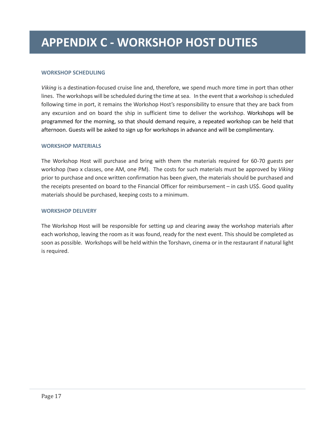#### **WORKSHOP SCHEDULING**

*Viking* is a destination-focused cruise line and, therefore, we spend much more time in port than other lines. The workshops will be scheduled during the time at sea. In the event that a workshop is scheduled following time in port, it remains the Workshop Host's responsibility to ensure that they are back from any excursion and on board the ship in sufficient time to deliver the workshop. Workshops will be programmed for the morning, so that should demand require, a repeated workshop can be held that afternoon. Guests will be asked to sign up for workshops in advance and will be complimentary.

#### **WORKSHOP MATERIALS**

The Workshop Host will purchase and bring with them the materials required for 60-70 guests per workshop (two x classes, one AM, one PM). The costs for such materials must be approved by *Viking* prior to purchase and once written confirmation has been given, the materials should be purchased and the receipts presented on board to the Financial Officer for reimbursement – in cash US\$. Good quality materials should be purchased, keeping costs to a minimum.

#### **WORKSHOP DELIVERY**

The Workshop Host will be responsible for setting up and clearing away the workshop materials after each workshop, leaving the room as it was found, ready for the next event. This should be completed as soon as possible. Workshops will be held within the Torshavn, cinema or in the restaurant if natural light is required.